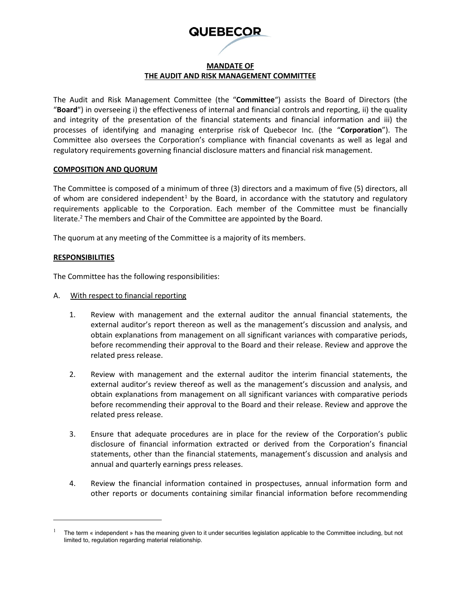# **QUEBECOR**

# **MANDATE OF THE AUDIT AND RISK MANAGEMENT COMMITTEE**

The Audit and Risk Management Committee (the "**Committee**") assists the Board of Directors (the "**Board**") in overseeing i) the effectiveness of internal and financial controls and reporting, ii) the quality and integrity of the presentation of the financial statements and financial information and iii) the processes of identifying and managing enterprise risk of Quebecor Inc. (the "**Corporation**"). The Committee also oversees the Corporation's compliance with financial covenants as well as legal and regulatory requirements governing financial disclosure matters and financial risk management.

### **COMPOSITION AND QUORUM**

The Committee is composed of a minimum of three (3) directors and a maximum of five (5) directors, all of whom are considered independent<sup>[1](#page-0-0)</sup> by the Board, in accordance with the statutory and regulatory requirements applicable to the Corporation. Each member of the Committee must be financially literate. <sup>2</sup> The members and Chair of the Committee are appointed by the Board.

The quorum at any meeting of the Committee is a majority of its members.

### **RESPONSIBILITIES**

The Committee has the following responsibilities:

- A. With respect to financial reporting
	- 1. Review with management and the external auditor the annual financial statements, the external auditor's report thereon as well as the management's discussion and analysis, and obtain explanations from management on all significant variances with comparative periods, before recommending their approval to the Board and their release. Review and approve the related press release.
	- 2. Review with management and the external auditor the interim financial statements, the external auditor's review thereof as well as the management's discussion and analysis, and obtain explanations from management on all significant variances with comparative periods before recommending their approval to the Board and their release. Review and approve the related press release.
	- 3. Ensure that adequate procedures are in place for the review of the Corporation's public disclosure of financial information extracted or derived from the Corporation's financial statements, other than the financial statements, management's discussion and analysis and annual and quarterly earnings press releases.
	- 4. Review the financial information contained in prospectuses, annual information form and other reports or documents containing similar financial information before recommending

<span id="page-0-0"></span><sup>1</sup> The term « independent » has the meaning given to it under securities legislation applicable to the Committee including, but not limited to, regulation regarding material relationship.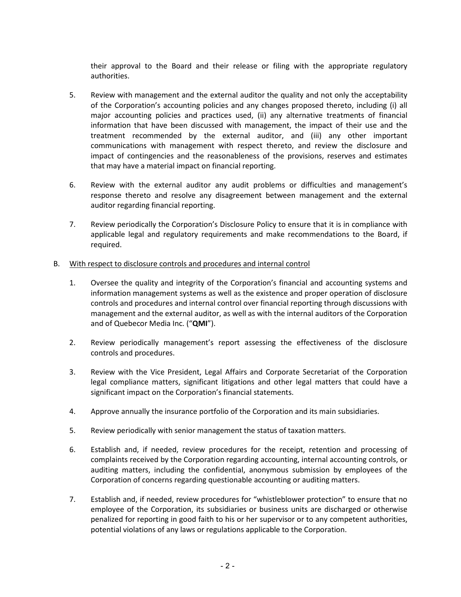their approval to the Board and their release or filing with the appropriate regulatory authorities.

- 5. Review with management and the external auditor the quality and not only the acceptability of the Corporation's accounting policies and any changes proposed thereto, including (i) all major accounting policies and practices used, (ii) any alternative treatments of financial information that have been discussed with management, the impact of their use and the treatment recommended by the external auditor, and (iii) any other important communications with management with respect thereto, and review the disclosure and impact of contingencies and the reasonableness of the provisions, reserves and estimates that may have a material impact on financial reporting.
- 6. Review with the external auditor any audit problems or difficulties and management's response thereto and resolve any disagreement between management and the external auditor regarding financial reporting.
- 7. Review periodically the Corporation's Disclosure Policy to ensure that it is in compliance with applicable legal and regulatory requirements and make recommendations to the Board, if required.
- B. With respect to disclosure controls and procedures and internal control
	- 1. Oversee the quality and integrity of the Corporation's financial and accounting systems and information management systems as well as the existence and proper operation of disclosure controls and procedures and internal control over financial reporting through discussions with management and the external auditor, as well as with the internal auditors of the Corporation and of Quebecor Media Inc. ("**QMI**").
	- 2. Review periodically management's report assessing the effectiveness of the disclosure controls and procedures.
	- 3. Review with the Vice President, Legal Affairs and Corporate Secretariat of the Corporation legal compliance matters, significant litigations and other legal matters that could have a significant impact on the Corporation's financial statements.
	- 4. Approve annually the insurance portfolio of the Corporation and its main subsidiaries.
	- 5. Review periodically with senior management the status of taxation matters.
	- 6. Establish and, if needed, review procedures for the receipt, retention and processing of complaints received by the Corporation regarding accounting, internal accounting controls, or auditing matters, including the confidential, anonymous submission by employees of the Corporation of concerns regarding questionable accounting or auditing matters.
	- 7. Establish and, if needed, review procedures for "whistleblower protection" to ensure that no employee of the Corporation, its subsidiaries or business units are discharged or otherwise penalized for reporting in good faith to his or her supervisor or to any competent authorities, potential violations of any laws or regulations applicable to the Corporation.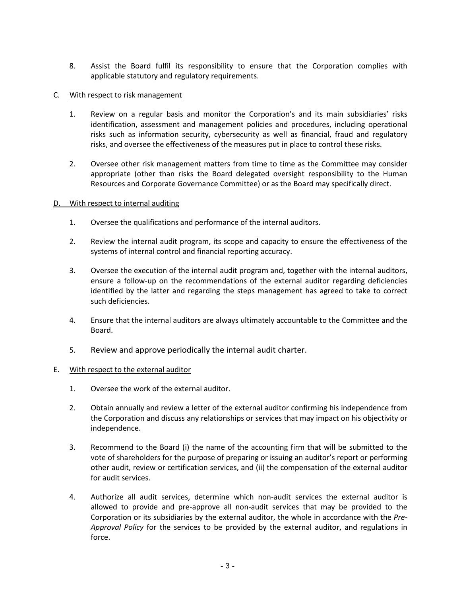8. Assist the Board fulfil its responsibility to ensure that the Corporation complies with applicable statutory and regulatory requirements.

# C. With respect to risk management

- 1. Review on a regular basis and monitor the Corporation's and its main subsidiaries' risks identification, assessment and management policies and procedures, including operational risks such as information security, cybersecurity as well as financial, fraud and regulatory risks, and oversee the effectiveness of the measures put in place to control these risks.
- 2. Oversee other risk management matters from time to time as the Committee may consider appropriate (other than risks the Board delegated oversight responsibility to the Human Resources and Corporate Governance Committee) or as the Board may specifically direct.

## D. With respect to internal auditing

- 1. Oversee the qualifications and performance of the internal auditors.
- 2. Review the internal audit program, its scope and capacity to ensure the effectiveness of the systems of internal control and financial reporting accuracy.
- 3. Oversee the execution of the internal audit program and, together with the internal auditors, ensure a follow-up on the recommendations of the external auditor regarding deficiencies identified by the latter and regarding the steps management has agreed to take to correct such deficiencies.
- 4. Ensure that the internal auditors are always ultimately accountable to the Committee and the Board.
- 5. Review and approve periodically the internal audit charter.

## E. With respect to the external auditor

- 1. Oversee the work of the external auditor.
- 2. Obtain annually and review a letter of the external auditor confirming his independence from the Corporation and discuss any relationships or services that may impact on his objectivity or independence.
- 3. Recommend to the Board (i) the name of the accounting firm that will be submitted to the vote of shareholders for the purpose of preparing or issuing an auditor's report or performing other audit, review or certification services, and (ii) the compensation of the external auditor for audit services.
- 4. Authorize all audit services, determine which non-audit services the external auditor is allowed to provide and pre-approve all non-audit services that may be provided to the Corporation or its subsidiaries by the external auditor, the whole in accordance with the *Pre-Approval Policy* for the services to be provided by the external auditor, and regulations in force.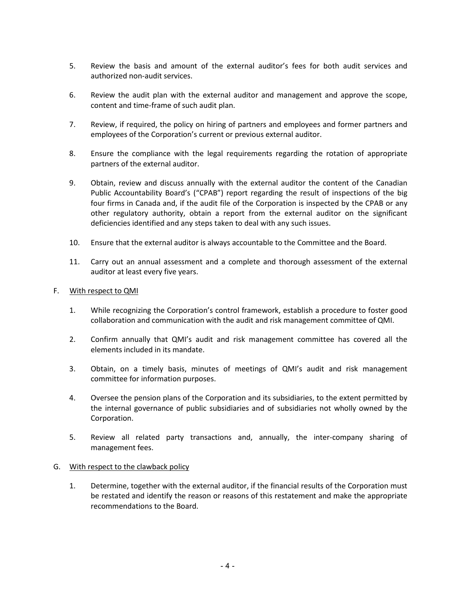- 5. Review the basis and amount of the external auditor's fees for both audit services and authorized non-audit services.
- 6. Review the audit plan with the external auditor and management and approve the scope, content and time-frame of such audit plan.
- 7. Review, if required, the policy on hiring of partners and employees and former partners and employees of the Corporation's current or previous external auditor.
- 8. Ensure the compliance with the legal requirements regarding the rotation of appropriate partners of the external auditor.
- 9. Obtain, review and discuss annually with the external auditor the content of the Canadian Public Accountability Board's ("CPAB") report regarding the result of inspections of the big four firms in Canada and, if the audit file of the Corporation is inspected by the CPAB or any other regulatory authority, obtain a report from the external auditor on the significant deficiencies identified and any steps taken to deal with any such issues.
- 10. Ensure that the external auditor is always accountable to the Committee and the Board.
- 11. Carry out an annual assessment and a complete and thorough assessment of the external auditor at least every five years.

### F. With respect to QMI

- 1. While recognizing the Corporation's control framework, establish a procedure to foster good collaboration and communication with the audit and risk management committee of QMI.
- 2. Confirm annually that QMI's audit and risk management committee has covered all the elements included in its mandate.
- 3. Obtain, on a timely basis, minutes of meetings of QMI's audit and risk management committee for information purposes.
- 4. Oversee the pension plans of the Corporation and its subsidiaries, to the extent permitted by the internal governance of public subsidiaries and of subsidiaries not wholly owned by the Corporation.
- 5. Review all related party transactions and, annually, the inter-company sharing of management fees.

#### G. With respect to the clawback policy

1. Determine, together with the external auditor, if the financial results of the Corporation must be restated and identify the reason or reasons of this restatement and make the appropriate recommendations to the Board.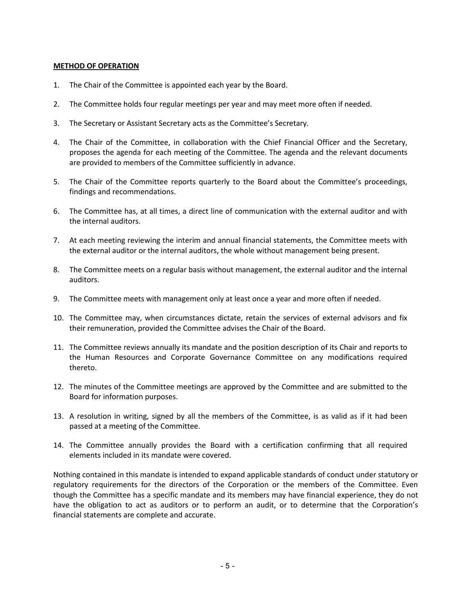# **METHOD OF OPERATION**

- 1. The Chair of the Committee is appointed each year by the Board.
- 2. The Committee holds four regular meetings per year and may meet more often if needed.
- 3. The Secretary or Assistant Secretary acts as the Committee's Secretary.
- 4. The Chair of the Committee, in collaboration with the Chief Financial Officer and the Secretary, proposes the agenda for each meeting of the Committee. The agenda and the relevant documents are provided to members of the Committee sufficiently in advance.
- 5. The Chair of the Committee reports quarterly to the Board about the Committee's proceedings, findings and recommendations.
- 6. The Committee has, at all times, a direct line of communication with the external auditor and with the internal auditors.
- 7. At each meeting reviewing the interim and annual financial statements, the Committee meets with the external auditor or the internal auditors, the whole without management being present.
- 8. The Committee meets on a regular basis without management, the external auditor and the internal auditors.
- 9. The Committee meets with management only at least once a year and more often if needed.
- 10. The Committee may, when circumstances dictate, retain the services of external advisors and fix their remuneration, provided the Committee advises the Chair of the Board.
- 11. The Committee reviews annually its mandate and the position description of its Chair and reports to the Human Resources and Corporate Governance Committee on any modifications required thereto.
- 12. The minutes of the Committee meetings are approved by the Committee and are submitted to the Board for information purposes.
- 13. A resolution in writing, signed by all the members of the Committee, is as valid as if it had been passed at a meeting of the Committee.
- 14. The Committee annually provides the Board with a certification confirming that all required elements included in its mandate were covered.

Nothing contained in this mandate is intended to expand applicable standards of conduct under statutory or regulatory requirements for the directors of the Corporation or the members of the Committee. Even though the Committee has a specific mandate and its members may have financial experience, they do not have the obligation to act as auditors or to perform an audit, or to determine that the Corporation's financial statements are complete and accurate.